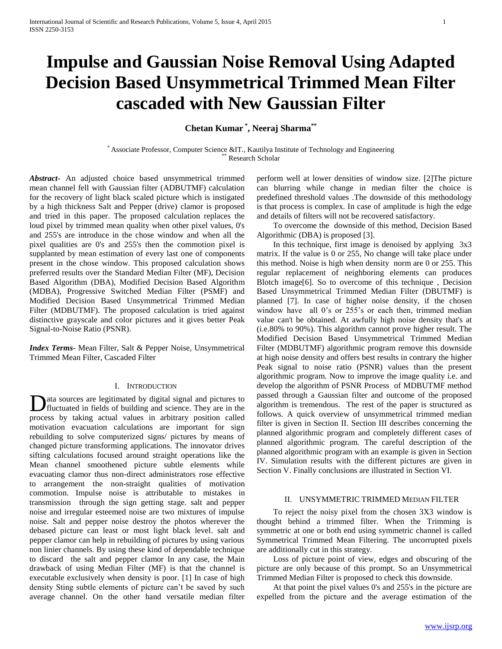# **Impulse and Gaussian Noise Removal Using Adapted Decision Based Unsymmetrical Trimmed Mean Filter cascaded with New Gaussian Filter**

**Chetan Kumar \* , Neeraj Sharma\*\***

\* Associate Professor, Computer Science &IT., Kautilya Institute of Technology and Engineering Research Scholar

*Abstract***-** An adjusted choice based unsymmetrical trimmed mean channel fell with Gaussian filter (ADBUTMF) calculation for the recovery of light black scaled picture which is instigated by a high thickness Salt and Pepper (drive) clamor is proposed and tried in this paper. The proposed calculation replaces the loud pixel by trimmed mean quality when other pixel values, 0's and 255's are introduce in the chose window and when all the pixel qualities are 0's and 255's then the commotion pixel is supplanted by mean estimation of every last one of components present in the chose window. This proposed calculation shows preferred results over the Standard Median Filter (MF), Decision Based Algorithm (DBA), Modified Decision Based Algorithm (MDBA), Progressive Switched Median Filter (PSMF) and Modified Decision Based Unsymmetrical Trimmed Median Filter (MDBUTMF). The proposed calculation is tried against distinctive grayscale and color pictures and it gives better Peak Signal-to-Noise Ratio (PSNR).

*Index Terms*- Mean Filter, Salt & Pepper Noise, Unsymmetrical Trimmed Mean Filter, Cascaded Filter

## I. INTRODUCTION

ata sources are legitimated by digital signal and pictures to fluctuated in fields of building and science. They are in the process by taking actual values in arbitrary position called motivation evacuation calculations are important for sign rebuilding to solve computerized signs/ pictures by means of changed picture transforming applications. The innovator drives sifting calculations focused around straight operations like the Mean channel smoothened picture subtle elements while evacuating clamor thus non-direct administrators rose effective to arrangement the non-straight qualities of motivation commotion. Impulse noise is attributable to mistakes in transmission through the sign getting stage. salt and pepper noise and irregular esteemed noise are two mixtures of impulse noise. Salt and pepper noise destroy the photos wherever the debased picture can least or most light black level. salt and pepper clamor can help in rebuilding of pictures by using various non linier channels. By using these kind of dependable technique to discard the salt and pepper clamor In any case, the Main drawback of using Median Filter (MF) is that the channel is executable exclusively when density is poor. [1] In case of high density Sting subtle elements of picture can't be saved by such average channel. On the other hand versatile median filter D

perform well at lower densities of window size. [2]The picture can blurring while change in median filter the choice is predefined threshold values .The downside of this methodology is that process is complex. In case of amplitude is high the edge and details of filters will not be recovered satisfactory.

 To overcome the downside of this method, Decision Based Algorithmic (DBA) is proposed [3].

 In this technique, first image is denoised by applying 3x3 matrix. If the value is 0 or 255, No change will take place under this method. Noise is high when density norm are 0 or 255. This regular replacement of neighboring elements can produces Blotch image[6]. So to overcome of this technique , Decision Based Unsymmetrical Trimmed Median Filter (DBUTMF) is planned [7]. In case of higher noise density, if the chosen window have all 0's or 255's or each then, trimmed median value can't be obtained. At awfully high noise density that's at (i.e.80% to 90%). This algorithm cannot prove higher result. The Modified Decision Based Unsymmetrical Trimmed Median Filter (MDBUTMF) algorithmic program remove this downside at high noise density and offers best results in contrary the higher Peak signal to noise ratio (PSNR) values than the present algorithmic program. Now to improve the image quality i.e. and develop the algorithm of PSNR Process of MDBUTMF method passed through a Gaussian filter and outcome of the proposed algorithm is tremendous. The rest of the paper is structured as follows. A quick overview of unsymmetrical trimmed median filter is given in Section II. Section III describes concerning the planned algorithmic program and completely different cases of planned algorithmic program. The careful description of the planned algorithmic program with an example is given in Section IV. Simulation results with the different pictures are given in Section V. Finally conclusions are illustrated in Section VI.

## II. UNSYMMETRIC TRIMMED MEDIAN FILTER

 To reject the noisy pixel from the chosen 3X3 window is thought behind a trimmed filter. When the Trimming is symmetric at one or both end using symmetric channel is called Symmetrical Trimmed Mean Filtering. The uncorrupted pixels are additionally cut in this strategy.

 Loss of picture point of view, edges and obscuring of the picture are only because of this prompt. So an Unsymmetrical Trimmed Median Filter is proposed to check this downside.

 At that point the pixel values 0's and 255's in the picture are expelled from the picture and the average estimation of the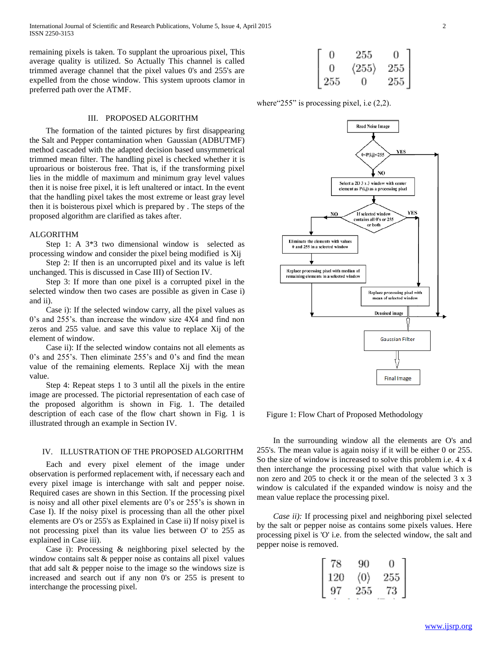remaining pixels is taken. To supplant the uproarious pixel, This average quality is utilized. So Actually This channel is called trimmed average channel that the pixel values 0's and 255's are expelled from the chose window. This system uproots clamor in preferred path over the ATMF.

#### III. PROPOSED ALGORITHM

 The formation of the tainted pictures by first disappearing the Salt and Pepper contamination when Gaussian (ADBUTMF) method cascaded with the adapted decision based unsymmetrical trimmed mean filter. The handling pixel is checked whether it is uproarious or boisterous free. That is, if the transforming pixel lies in the middle of maximum and minimum gray level values then it is noise free pixel, it is left unaltered or intact. In the event that the handling pixel takes the most extreme or least gray level then it is boisterous pixel which is prepared by . The steps of the proposed algorithm are clarified as takes after.

# ALGORITHM

 Step 1: A 3\*3 two dimensional window is selected as processing window and consider the pixel being modified is Xij

 Step 2: If then is an uncorrupted pixel and its value is left unchanged. This is discussed in Case III) of Section IV.

 Step 3: If more than one pixel is a corrupted pixel in the selected window then two cases are possible as given in Case i) and ii).

 Case i): If the selected window carry, all the pixel values as 0's and 255's. than increase the window size 4X4 and find non zeros and 255 value. and save this value to replace Xij of the element of window.

 Case ii): If the selected window contains not all elements as 0's and 255's. Then eliminate 255's and 0's and find the mean value of the remaining elements. Replace Xij with the mean value.

 Step 4: Repeat steps 1 to 3 until all the pixels in the entire image are processed. The pictorial representation of each case of the proposed algorithm is shown in Fig. 1. The detailed description of each case of the flow chart shown in Fig. 1 is illustrated through an example in Section IV.

#### IV. ILLUSTRATION OF THE PROPOSED ALGORITHM

 Each and every pixel element of the image under observation is performed replacement with, if necessary each and every pixel image is interchange with salt and pepper noise. Required cases are shown in this Section. If the processing pixel is noisy and all other pixel elements are 0's or 255's is shown in Case I). If the noisy pixel is processing than all the other pixel elements are O's or 255's as Explained in Case ii) If noisy pixel is not processing pixel than its value lies between O' to 255 as explained in Case iii).

 Case i): Processing & neighboring pixel selected by the window contains salt & pepper noise as contains all pixel values that add salt & pepper noise to the image so the windows size is increased and search out if any non 0's or 255 is present to interchange the processing pixel.

| 0            | 255                   | 0                                          |
|--------------|-----------------------|--------------------------------------------|
| 0            | $\langle 255 \rangle$ |                                            |
| $\sqrt{255}$ | 0                     | $\begin{bmatrix} 255 \\ 255 \end{bmatrix}$ |

where "255" is processing pixel, i.e  $(2,2)$ .



Figure 1: Flow Chart of Proposed Methodology

 In the surrounding window all the elements are O's and 255's. The mean value is again noisy if it will be either 0 or 255. So the size of window is increased to solve this problem i.e. 4 x 4 then interchange the processing pixel with that value which is non zero and 205 to check it or the mean of the selected 3 x 3 window is calculated if the expanded window is noisy and the mean value replace the processing pixel.

*Case ii)*: If processing pixel and neighboring pixel selected by the salt or pepper noise as contains some pixels values. Here processing pixel is 'O' i.e. from the selected window, the salt and pepper noise is removed.

|                                                 | 90                  | $\cup$ |  |  |
|-------------------------------------------------|---------------------|--------|--|--|
| 120                                             | $\langle 0 \rangle$ | 255    |  |  |
| $\begin{bmatrix} 78 \\ 120 \\ 97 \end{bmatrix}$ | 255                 | 73     |  |  |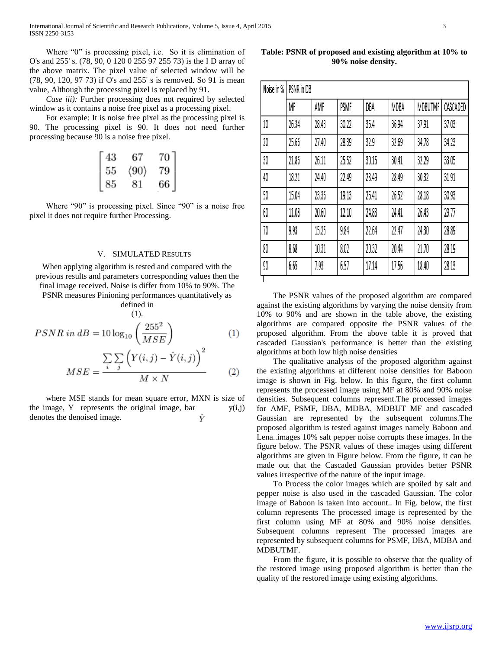Where "0" is processing pixel, i.e. So it is elimination of O's and 255' s. (78, 90, 0 120 0 255 97 255 73) is the I D array of the above matrix. The pixel value of selected window will be (78, 90, 120, 97 73) if O's and 255' s is removed. So 91 is mean value, Although the processing pixel is replaced by 91.

 *Case iii):* Further processing does not required by selected window as it contains a noise free pixel as a processing pixel.

 For example: It is noise free pixel as the processing pixel is 90. The processing pixel is 90. It does not need further processing because 90 is a noise free pixel.

|                                              | 67                   | 70 |  |  |
|----------------------------------------------|----------------------|----|--|--|
|                                              | $\langle 90 \rangle$ | 79 |  |  |
| $\begin{bmatrix} 43 \ 55 \ 85 \end{bmatrix}$ | 81                   | 66 |  |  |

 Where "90" is processing pixel. Since "90" is a noise free pixel it does not require further Processing.

## V. SIMULATED RESULTS

When applying algorithm is tested and compared with the previous results and parameters corresponding values then the final image received. Noise is differ from 10% to 90%. The

PSNR measures Pinioning performances quantitatively as defined in

$$
\prod_{(1)}^{(1)}
$$

$$
PSNR\ in\ dB = 10\log_{10}\left(\frac{255^2}{MSE}\right) \tag{1}
$$
\n
$$
MSE = \frac{\sum_{i}\sum_{j}\left(Y(i,j) - \hat{Y}(i,j)\right)^2}{M \times N} \tag{2}
$$

 where MSE stands for mean square error, MXN is size of the image, Y represents the original image, bar  $y(i,j)$ denotes the denoised image. Ŷ

**Table: PSNR of proposed and existing algorithm at 10% to 90% noise density.**

| Noise in % | PSNR in DB |       |       |       |       |         |          |  |  |
|------------|------------|-------|-------|-------|-------|---------|----------|--|--|
|            | MF         | AMF   | PSMF  | DBA   | MDBA  | MDBUTMF | CASCADED |  |  |
| 10         | 26.34      | 28.43 | 30.22 | 36.4  | 36.94 | 37.91   | 37.03    |  |  |
| 20         | 25.66      | 27.40 | 28.39 | 32.9  | 32.69 | 34.78   | 34.23    |  |  |
| 30         | 21.86      | 26.11 | 25.52 | 30.15 | 30.41 | 32.29   | 33.05    |  |  |
| 40         | 18.21      | 24.40 | 22.49 | 28.49 | 28.49 | 30.32   | 31.91    |  |  |
| 50         | 15.04      | 23.36 | 19.13 | 26.41 | 26.52 | 28.18   | 30.93    |  |  |
| 60         | 11.08      | 20.60 | 12.10 | 24.83 | 24.41 | 26.43   | 29.77    |  |  |
| 70         | 9.93       | 15.25 | 9.84  | 22.64 | 22.47 | 24.30   | 28.89    |  |  |
| 80         | 8.68       | 10.31 | 8.02  | 20.32 | 20.44 | 21.70   | 28.19    |  |  |
| 90         | 6.65       | 7.93  | 6.57  | 17.14 | 17.56 | 18.40   | 28.13    |  |  |

 The PSNR values of the proposed algorithm are compared against the existing algorithms by varying the noise density from 10% to 90% and are shown in the table above, the existing algorithms are compared opposite the PSNR values of the proposed algorithm. From the above table it is proved that cascaded Gaussian's performance is better than the existing algorithms at both low high noise densities

 The qualitative analysis of the proposed algorithm against the existing algorithms at different noise densities for Baboon image is shown in Fig. below. In this figure, the first column represents the processed image using MF at 80% and 90% noise densities. Subsequent columns represent.The processed images for AMF, PSMF, DBA, MDBA, MDBUT MF and cascaded Gaussian are represented by the subsequent columns.The proposed algorithm is tested against images namely Baboon and Lena..images 10% salt pepper noise corrupts these images. In the figure below. The PSNR values of these images using different algorithms are given in Figure below. From the figure, it can be made out that the Cascaded Gaussian provides better PSNR values irrespective of the nature of the input image.

 To Process the color images which are spoiled by salt and pepper noise is also used in the cascaded Gaussian. The color image of Baboon is taken into account.. In Fig. below, the first column represents The processed image is represented by the first column using MF at 80% and 90% noise densities. Subsequent columns represent The processed images are represented by subsequent columns for PSMF, DBA, MDBA and MDBUTMF.

 From the figure, it is possible to observe that the quality of the restored image using proposed algorithm is better than the quality of the restored image using existing algorithms.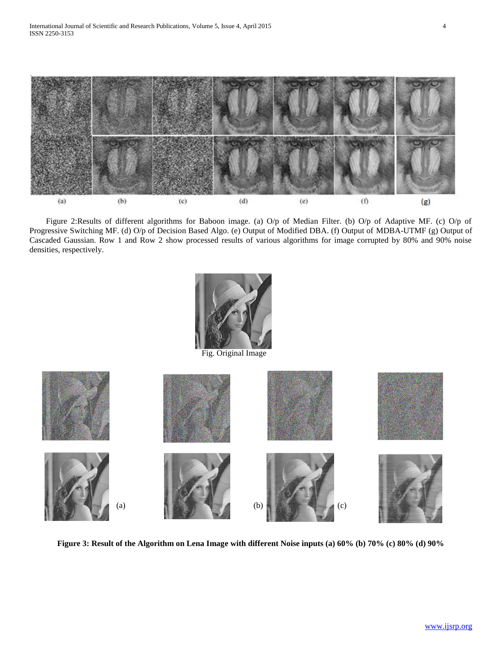

 Figure 2:Results of different algorithms for Baboon image. (a) O/p of Median Filter. (b) O/p of Adaptive MF. (c) O/p of Progressive Switching MF. (d) O/p of Decision Based Algo. (e) Output of Modified DBA. (f) Output of MDBA-UTMF (g) Output of Cascaded Gaussian. Row 1 and Row 2 show processed results of various algorithms for image corrupted by 80% and 90% noise densities, respectively.



Fig. Original Image



**Figure 3: Result of the Algorithm on Lena Image with different Noise inputs (a) 60% (b) 70% (c) 80% (d) 90%**